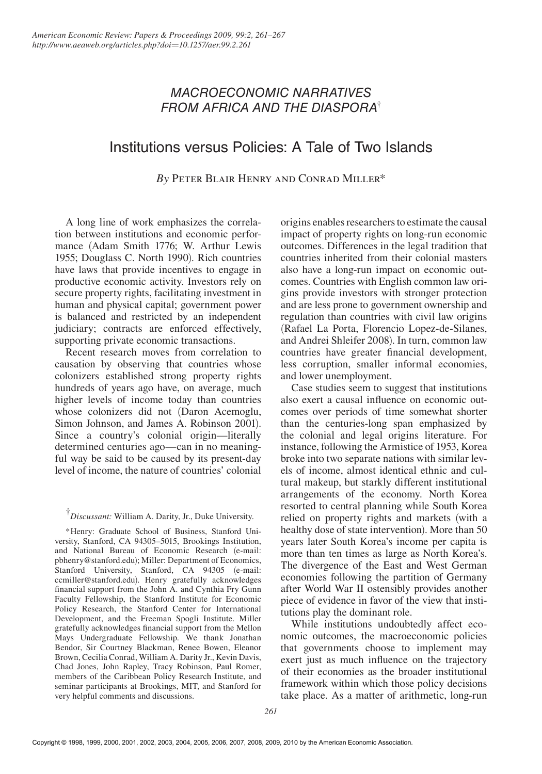# *MACROECONOMIC NARRATIVES FROM AFRICA AND THE DIASPORA*†

## Institutions versus Policies: A Tale of Two Islands

*By* Peter Blair Henry and Conrad Miller\*

A long line of work emphasizes the correlation between institutions and economic performance (Adam Smith 1776; W. Arthur Lewis 1955; Douglass C. North 1990). Rich countries have laws that provide incentives to engage in productive economic activity. Investors rely on secure property rights, facilitating investment in human and physical capital; government power is balanced and restricted by an independent judiciary; contracts are enforced effectively, supporting private economic transactions.

Recent research moves from correlation to causation by observing that countries whose colonizers established strong property rights hundreds of years ago have, on average, much higher levels of income today than countries whose colonizers did not (Daron Acemoglu, Simon Johnson, and James A. Robinson 2001). Since a country's colonial origin—literally determined centuries ago—can in no meaningful way be said to be caused by its present-day level of income, the nature of countries' colonial

† *Discussant:* William A. Darity, Jr., Duke University.

\*Henry: Graduate School of Business, Stanford University, Stanford, CA 94305–5015, Brookings Institution, and National Bureau of Economic Research (e-mail: pbhenry@stanford.edu); Miller: Department of Economics, Stanford University, Stanford, CA 94305 (e-mail: ccmiller@stanford.edu). Henry gratefully acknowledges financial support from the John A. and Cynthia Fry Gunn Faculty Fellowship, the Stanford Institute for Economic Policy Research, the Stanford Center for International Development, and the Freeman Spogli Institute. Miller gratefully acknowledges financial support from the Mellon Mays Undergraduate Fellowship. We thank Jonathan Bendor, Sir Courtney Blackman, Renee Bowen, Eleanor Brown, Cecilia Conrad, William A. Darity Jr., Kevin Davis, Chad Jones, John Rapley, Tracy Robinson, Paul Romer, members of the Caribbean Policy Research Institute, and seminar participants at Brookings, MIT, and Stanford for very helpful comments and discussions.

origins enables researchers to estimate the causal impact of property rights on long-run economic outcomes. Differences in the legal tradition that countries inherited from their colonial masters also have a long-run impact on economic outcomes. Countries with English common law origins provide investors with stronger protection and are less prone to government ownership and regulation than countries with civil law origins (Rafael La Porta, Florencio Lopez-de-Silanes, and Andrei Shleifer 2008). In turn, common law countries have greater financial development, less corruption, smaller informal economies, and lower unemployment.

Case studies seem to suggest that institutions also exert a causal influence on economic outcomes over periods of time somewhat shorter than the centuries-long span emphasized by the colonial and legal origins literature. For instance, following the Armistice of 1953, Korea broke into two separate nations with similar levels of income, almost identical ethnic and cultural makeup, but starkly different institutional arrangements of the economy. North Korea resorted to central planning while South Korea relied on property rights and markets (with a healthy dose of state intervention). More than 50 years later South Korea's income per capita is more than ten times as large as North Korea's. The divergence of the East and West German economies following the partition of Germany after World War II ostensibly provides another piece of evidence in favor of the view that institutions play the dominant role.

While institutions undoubtedly affect economic outcomes, the macroeconomic policies that governments choose to implement may exert just as much influence on the trajectory of their economies as the broader institutional framework within which those policy decisions take place. As a matter of arithmetic, long-run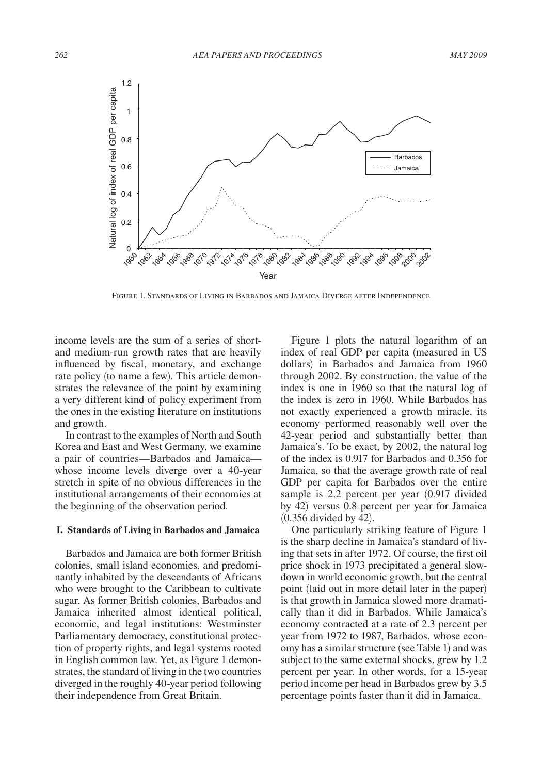

Figure 1. Standards of Living in Barbados and Jamaica Diverge after Independence

income levels are the sum of a series of shortand medium-run growth rates that are heavily influenced by fiscal, monetary, and exchange rate policy (to name a few). This article demonstrates the relevance of the point by examining a very different kind of policy experiment from the ones in the existing literature on institutions and growth.

In contrast to the examples of North and South Korea and East and West Germany, we examine a pair of countries—Barbados and Jamaica whose income levels diverge over a 40-year stretch in spite of no obvious differences in the institutional arrangements of their economies at the beginning of the observation period.

## **I. Standards of Living in Barbados and Jamaica**

Barbados and Jamaica are both former British colonies, small island economies, and predominantly inhabited by the descendants of Africans who were brought to the Caribbean to cultivate sugar. As former British colonies, Barbados and Jamaica inherited almost identical political, economic, and legal institutions: Westminster Parliamentary democracy, constitutional protection of property rights, and legal systems rooted in English common law. Yet, as Figure 1 demonstrates, the standard of living in the two countries diverged in the roughly 40-year period following their independence from Great Britain.

Figure 1 plots the natural logarithm of an index of real GDP per capita (measured in US dollars) in Barbados and Jamaica from 1960 through 2002. By construction, the value of the index is one in 1960 so that the natural log of the index is zero in 1960. While Barbados has not exactly experienced a growth miracle, its economy performed reasonably well over the 42-year period and substantially better than Jamaica's. To be exact, by 2002, the natural log of the index is 0.917 for Barbados and 0.356 for Jamaica, so that the average growth rate of real GDP per capita for Barbados over the entire sample is 2.2 percent per year (0.917 divided by 42) versus 0.8 percent per year for Jamaica (0.356 divided by 42).

One particularly striking feature of Figure 1 is the sharp decline in Jamaica's standard of living that sets in after 1972. Of course, the first oil price shock in 1973 precipitated a general slowdown in world economic growth, but the central point (laid out in more detail later in the paper) is that growth in Jamaica slowed more dramatically than it did in Barbados. While Jamaica's economy contracted at a rate of 2.3 percent per year from 1972 to 1987, Barbados, whose economy has a similar structure (see Table 1) and was subject to the same external shocks, grew by 1.2 percent per year. In other words, for a 15-year period income per head in Barbados grew by 3.5 percentage points faster than it did in Jamaica.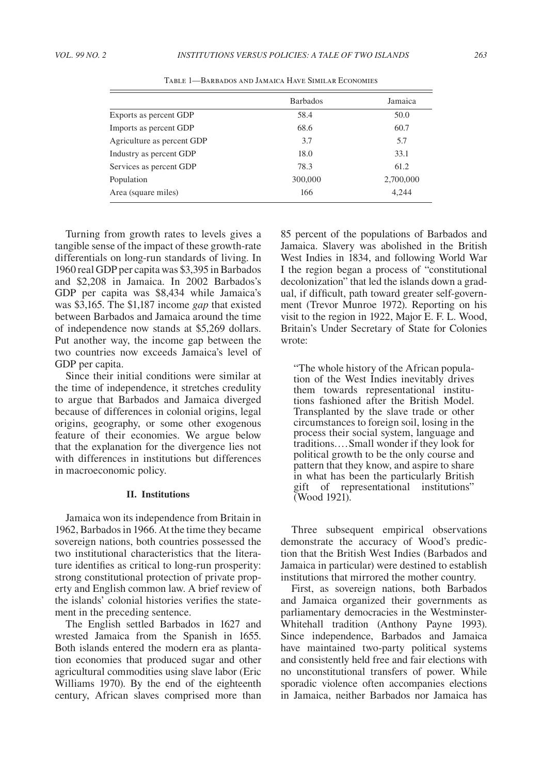|                            | <b>Barbados</b> | Jamaica   |  |
|----------------------------|-----------------|-----------|--|
| Exports as percent GDP     | 58.4            | 50.0      |  |
| Imports as percent GDP     | 68.6            | 60.7      |  |
| Agriculture as percent GDP | 3.7             | 5.7       |  |
| Industry as percent GDP    | 18.0            | 33.1      |  |
| Services as percent GDP    | 78.3            | 61.2      |  |
| Population                 | 300,000         | 2,700,000 |  |
| Area (square miles)        | 166             | 4.244     |  |

Table 1—Barbados and Jamaica Have Similar Economies

Turning from growth rates to levels gives a tangible sense of the impact of these growth-rate differentials on long-run standards of living. In 1960 real GDP per capita was \$3,395 in Barbados and \$2,208 in Jamaica. In 2002 Barbados's GDP per capita was \$8,434 while Jamaica's was \$3,165. The \$1,187 income *gap* that existed between Barbados and Jamaica around the time of independence now stands at \$5,269 dollars. Put another way, the income gap between the two countries now exceeds Jamaica's level of GDP per capita.

Since their initial conditions were similar at the time of independence, it stretches credulity to argue that Barbados and Jamaica diverged because of differences in colonial origins, legal origins, geography, or some other exogenous feature of their economies. We argue below that the explanation for the divergence lies not with differences in institutions but differences in macroeconomic policy.

## **II. Institutions**

Jamaica won its independence from Britain in 1962, Barbados in 1966. At the time they became sovereign nations, both countries possessed the two institutional characteristics that the literature identifies as critical to long-run prosperity: strong constitutional protection of private property and English common law. A brief review of the islands' colonial histories verifies the statement in the preceding sentence.

The English settled Barbados in 1627 and wrested Jamaica from the Spanish in 1655. Both islands entered the modern era as plantation economies that produced sugar and other agricultural commodities using slave labor (Eric Williams 1970). By the end of the eighteenth century, African slaves comprised more than 85 percent of the populations of Barbados and Jamaica. Slavery was abolished in the British West Indies in 1834, and following World War I the region began a process of "constitutional decolonization" that led the islands down a gradual, if difficult, path toward greater self-government (Trevor Munroe 1972). Reporting on his visit to the region in 1922, Major E. F. L. Wood, Britain's Under Secretary of State for Colonies wrote:

"The whole history of the African population of the West Indies inevitably drives them towards representational institutions fashioned after the British Model. Transplanted by the slave trade or other circumstances to foreign soil, losing in the process their social system, language and traditions.…Small wonder if they look for political growth to be the only course and pattern that they know, and aspire to share in what has been the particularly British gift of representational institutions" (Wood 1921).

Three subsequent empirical observations demonstrate the accuracy of Wood's prediction that the British West Indies (Barbados and Jamaica in particular) were destined to establish institutions that mirrored the mother country.

First, as sovereign nations, both Barbados and Jamaica organized their governments as parliamentary democracies in the Westminster-Whitehall tradition (Anthony Payne 1993). Since independence, Barbados and Jamaica have maintained two-party political systems and consistently held free and fair elections with no unconstitutional transfers of power. While sporadic violence often accompanies elections in Jamaica, neither Barbados nor Jamaica has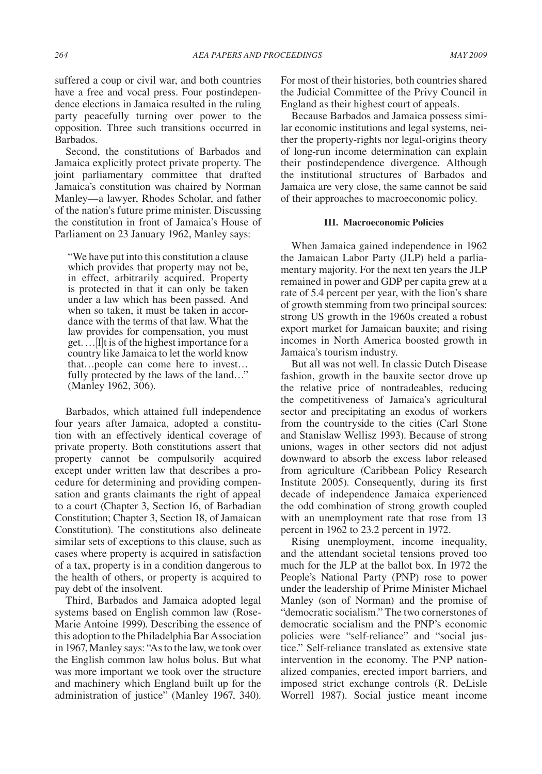suffered a coup or civil war, and both countries have a free and vocal press. Four postindependence elections in Jamaica resulted in the ruling party peacefully turning over power to the opposition. Three such transitions occurred in Barbados.

Second, the constitutions of Barbados and Jamaica explicitly protect private property. The joint parliamentary committee that drafted Jamaica's constitution was chaired by Norman Manley—a lawyer, Rhodes Scholar, and father of the nation's future prime minister. Discussing the constitution in front of Jamaica's House of Parliament on 23 January 1962, Manley says:

"We have put into this constitution a clause which provides that property may not be, in effect, arbitrarily acquired. Property is protected in that it can only be taken under a law which has been passed. And when so taken, it must be taken in accordance with the terms of that law. What the law provides for compensation, you must get.…[I]t is of the highest importance for a country like Jamaica to let the world know that…people can come here to invest… fully protected by the laws of the land…" (Manley 1962, 306).

Barbados, which attained full independence four years after Jamaica, adopted a constitution with an effectively identical coverage of private property. Both constitutions assert that property cannot be compulsorily acquired except under written law that describes a procedure for determining and providing compensation and grants claimants the right of appeal to a court (Chapter 3, Section 16, of Barbadian Constitution; Chapter 3, Section 18, of Jamaican Constitution). The constitutions also delineate similar sets of exceptions to this clause, such as cases where property is acquired in satisfaction of a tax, property is in a condition dangerous to the health of others, or property is acquired to pay debt of the insolvent.

Third, Barbados and Jamaica adopted legal systems based on English common law (Rose-Marie Antoine 1999). Describing the essence of this adoption to the Philadelphia Bar Association in 1967, Manley says: "As to the law, we took over the English common law holus bolus. But what was more important we took over the structure and machinery which England built up for the administration of justice" (Manley 1967, 340).

For most of their histories, both countries shared the Judicial Committee of the Privy Council in England as their highest court of appeals.

Because Barbados and Jamaica possess similar economic institutions and legal systems, neither the property-rights nor legal-origins theory of long-run income determination can explain their postindependence divergence. Although the institutional structures of Barbados and Jamaica are very close, the same cannot be said of their approaches to macroeconomic policy.

#### **III. Macroeconomic Policies**

When Jamaica gained independence in 1962 the Jamaican Labor Party (JLP) held a parliamentary majority. For the next ten years the JLP remained in power and GDP per capita grew at a rate of 5.4 percent per year, with the lion's share of growth stemming from two principal sources: strong US growth in the 1960s created a robust export market for Jamaican bauxite; and rising incomes in North America boosted growth in Jamaica's tourism industry.

But all was not well. In classic Dutch Disease fashion, growth in the bauxite sector drove up the relative price of nontradeables, reducing the competitiveness of Jamaica's agricultural sector and precipitating an exodus of workers from the countryside to the cities (Carl Stone and Stanislaw Wellisz 1993). Because of strong unions, wages in other sectors did not adjust downward to absorb the excess labor released from agriculture (Caribbean Policy Research Institute 2005). Consequently, during its first decade of independence Jamaica experienced the odd combination of strong growth coupled with an unemployment rate that rose from 13 percent in 1962 to 23.2 percent in 1972.

Rising unemployment, income inequality, and the attendant societal tensions proved too much for the JLP at the ballot box. In 1972 the People's National Party (PNP) rose to power under the leadership of Prime Minister Michael Manley (son of Norman) and the promise of "democratic socialism." The two cornerstones of democratic socialism and the PNP's economic policies were "self-reliance" and "social justice." Self-reliance translated as extensive state intervention in the economy. The PNP nationalized companies, erected import barriers, and imposed strict exchange controls (R. DeLisle Worrell 1987). Social justice meant income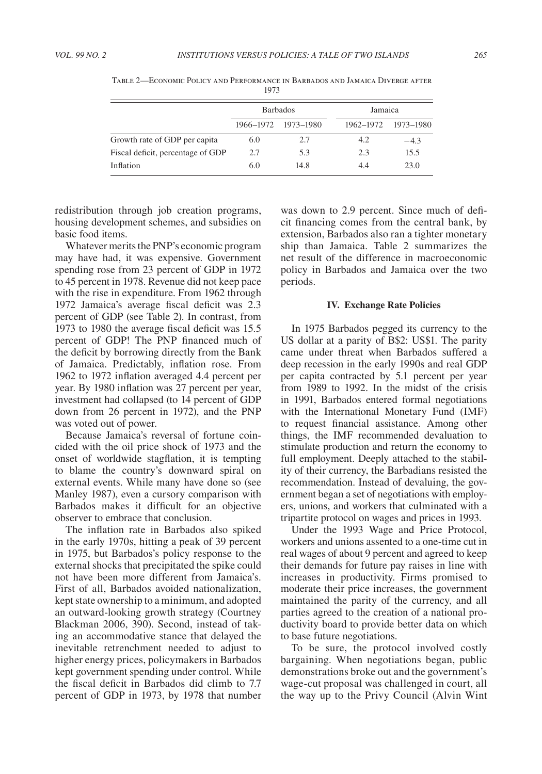|                                   | <b>Barbados</b> |                     | Jamaica |                     |
|-----------------------------------|-----------------|---------------------|---------|---------------------|
|                                   |                 | 1966-1972 1973-1980 |         | 1962-1972 1973-1980 |
| Growth rate of GDP per capita     | 6.0             | 2.7                 | 4.2     | $-4.3$              |
| Fiscal deficit, percentage of GDP | 2.7             | 5.3                 | 2.3     | 15.5                |
| Inflation                         | 6.0             | 14.8                | 44      | 23.0                |

Table 2—Economic Policy and Performance in Barbados and Jamaica Diverge after 1973

redistribution through job creation programs, housing development schemes, and subsidies on basic food items.

Whatever merits the PNP's economic program may have had, it was expensive. Government spending rose from 23 percent of GDP in 1972 to 45 percent in 1978. Revenue did not keep pace with the rise in expenditure. From 1962 through 1972 Jamaica's average fiscal deficit was 2.3 percent of GDP (see Table 2). In contrast, from 1973 to 1980 the average fiscal deficit was 15.5 percent of GDP! The PNP financed much of the deficit by borrowing directly from the Bank of Jamaica. Predictably, inflation rose. From 1962 to 1972 inflation averaged 4.4 percent per year. By 1980 inflation was 27 percent per year, investment had collapsed (to 14 percent of GDP down from 26 percent in 1972), and the PNP was voted out of power.

Because Jamaica's reversal of fortune coincided with the oil price shock of 1973 and the onset of worldwide stagflation, it is tempting to blame the country's downward spiral on external events. While many have done so (see Manley 1987), even a cursory comparison with Barbados makes it difficult for an objective observer to embrace that conclusion.

The inflation rate in Barbados also spiked in the early 1970s, hitting a peak of 39 percent in 1975, but Barbados's policy response to the external shocks that precipitated the spike could not have been more different from Jamaica's. First of all, Barbados avoided nationalization, kept state ownership to a minimum, and adopted an outward-looking growth strategy (Courtney Blackman 2006, 390). Second, instead of taking an accommodative stance that delayed the inevitable retrenchment needed to adjust to higher energy prices, policymakers in Barbados kept government spending under control. While the fiscal deficit in Barbados did climb to 7.7 percent of GDP in 1973, by 1978 that number

was down to 2.9 percent. Since much of deficit financing comes from the central bank, by extension, Barbados also ran a tighter monetary ship than Jamaica. Table 2 summarizes the net result of the difference in macroeconomic policy in Barbados and Jamaica over the two periods.

### **IV. Exchange Rate Policies**

In 1975 Barbados pegged its currency to the US dollar at a parity of B\$2: US\$1. The parity came under threat when Barbados suffered a deep recession in the early 1990s and real GDP per capita contracted by 5.1 percent per year from 1989 to 1992. In the midst of the crisis in 1991, Barbados entered formal negotiations with the International Monetary Fund (IMF) to request financial assistance. Among other things, the IMF recommended devaluation to stimulate production and return the economy to full employment. Deeply attached to the stability of their currency, the Barbadians resisted the recommendation. Instead of devaluing, the government began a set of negotiations with employers, unions, and workers that culminated with a tripartite protocol on wages and prices in 1993.

Under the 1993 Wage and Price Protocol, workers and unions assented to a one-time cut in real wages of about 9 percent and agreed to keep their demands for future pay raises in line with increases in productivity. Firms promised to moderate their price increases, the government maintained the parity of the currency, and all parties agreed to the creation of a national productivity board to provide better data on which to base future negotiations.

To be sure, the protocol involved costly bargaining. When negotiations began, public demonstrations broke out and the government's wage-cut proposal was challenged in court, all the way up to the Privy Council (Alvin Wint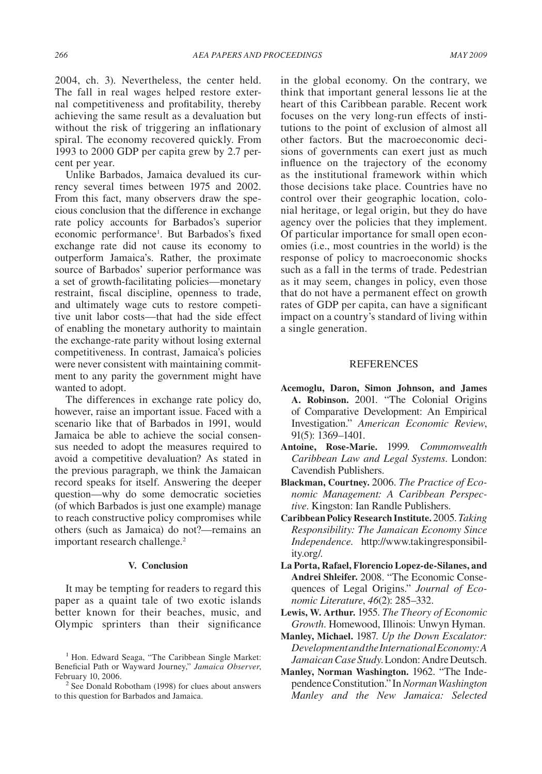2004, ch. 3). Nevertheless, the center held. The fall in real wages helped restore external competitiveness and profitability, thereby achieving the same result as a devaluation but without the risk of triggering an inflationary spiral. The economy recovered quickly. From 1993 to 2000 GDP per capita grew by 2.7 percent per year.

Unlike Barbados, Jamaica devalued its currency several times between 1975 and 2002. From this fact, many observers draw the specious conclusion that the difference in exchange rate policy accounts for Barbados's superior economic performance<sup>1</sup>. But Barbados's fixed exchange rate did not cause its economy to outperform Jamaica's. Rather, the proximate source of Barbados' superior performance was a set of growth-facilitating policies—monetary restraint, fiscal discipline, openness to trade, and ultimately wage cuts to restore competitive unit labor costs—that had the side effect of enabling the monetary authority to maintain the exchange-rate parity without losing external competitiveness. In contrast, Jamaica's policies were never consistent with maintaining commitment to any parity the government might have wanted to adopt.

The differences in exchange rate policy do, however, raise an important issue. Faced with a scenario like that of Barbados in 1991, would Jamaica be able to achieve the social consensus needed to adopt the measures required to avoid a competitive devaluation? As stated in the previous paragraph, we think the Jamaican record speaks for itself. Answering the deeper question—why do some democratic societies (of which Barbados is just one example) manage to reach constructive policy compromises while others (such as Jamaica) do not?—remains an important research challenge.<sup>2</sup>

#### **V. Conclusion**

It may be tempting for readers to regard this paper as a quaint tale of two exotic islands better known for their beaches, music, and Olympic sprinters than their significance

in the global economy. On the contrary, we think that important general lessons lie at the heart of this Caribbean parable. Recent work focuses on the very long-run effects of institutions to the point of exclusion of almost all other factors. But the macroeconomic decisions of governments can exert just as much influence on the trajectory of the economy as the institutional framework within which those decisions take place. Countries have no control over their geographic location, colonial heritage, or legal origin, but they do have agency over the policies that they implement. Of particular importance for small open economies (i.e., most countries in the world) is the response of policy to macroeconomic shocks such as a fall in the terms of trade. Pedestrian as it may seem, changes in policy, even those that do not have a permanent effect on growth rates of GDP per capita, can have a significant impact on a country's standard of living within a single generation.

## REFERENCES

- **Acemoglu, Daron, Simon Johnson, and James A. Robinson.** 2001. "The Colonial Origins of Comparative Development: An Empirical Investigation." *American Economic Review*, 91(5): 1369–1401.
- **Antoine, Rose-Marie.** 1999. *Commonwealth Caribbean Law and Legal Systems*. London: Cavendish Publishers.
- **Blackman, Courtney.** 2006. *The Practice of Economic Management: A Caribbean Perspective*. Kingston: Ian Randle Publishers.
- **Caribbean Policy Research Institute.** 2005. *Taking Responsibility: The Jamaican Economy Since Independence.* http://www.takingresponsibility.org/.
- **La Porta, Rafael, Florencio Lopez-de-Silanes, and Andrei Shleifer.** 2008. "The Economic Consequences of Legal Origins." *Journal of Economic Literature*, *46*(2): 285–332.
- **Lewis, W. Arthur.** 1955. *The Theory of Economic Growth*. Homewood, Illinois: Unwyn Hyman.
- **Manley, Michael.** 1987. *Up the Down Escalator: Development and the International Economy: A Jamaican Case Study*. London: Andre Deutsch.
- **Manley, Norman Washington.** 1962. "The Independence Constitution." In *Norman Washington Manley and the New Jamaica: Selected*

<sup>&</sup>lt;sup>1</sup> Hon. Edward Seaga, "The Caribbean Single Market: Beneficial Path or Wayward Journey," *Jamaica Observer*,

See Donald Robotham (1998) for clues about answers to this question for Barbados and Jamaica.